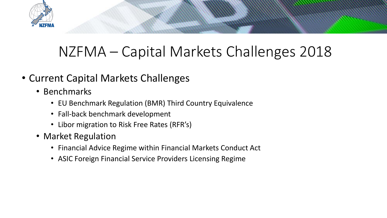

## NZFMA – Capital Markets Challenges 2018

- Current Capital Markets Challenges
	- Benchmarks
		- EU Benchmark Regulation (BMR) Third Country Equivalence
		- Fall-back benchmark development
		- Libor migration to Risk Free Rates (RFR's)
	- Market Regulation
		- Financial Advice Regime within Financial Markets Conduct Act
		- ASIC Foreign Financial Service Providers Licensing Regime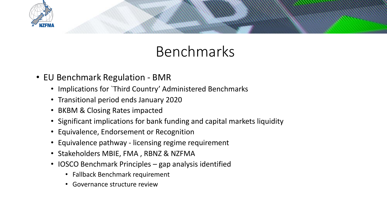

## Benchmarks

- EU Benchmark Regulation BMR
	- Implications for `Third Country' Administered Benchmarks
	- Transitional period ends January 2020
	- BKBM & Closing Rates impacted
	- Significant implications for bank funding and capital markets liquidity
	- Equivalence, Endorsement or Recognition
	- Equivalence pathway licensing regime requirement
	- Stakeholders MBIE, FMA , RBNZ & NZFMA
	- IOSCO Benchmark Principles gap analysis identified
		- Fallback Benchmark requirement
		- Governance structure review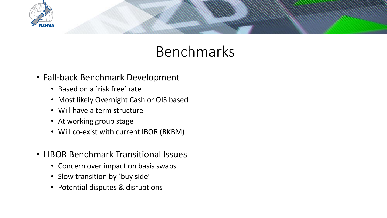

## Benchmarks

- Fall-back Benchmark Development
	- Based on a `risk free' rate
	- Most likely Overnight Cash or OIS based
	- Will have a term structure
	- At working group stage
	- Will co-exist with current IBOR (BKBM)
- LIBOR Benchmark Transitional Issues
	- Concern over impact on basis swaps
	- Slow transition by `buy side'
	- Potential disputes & disruptions